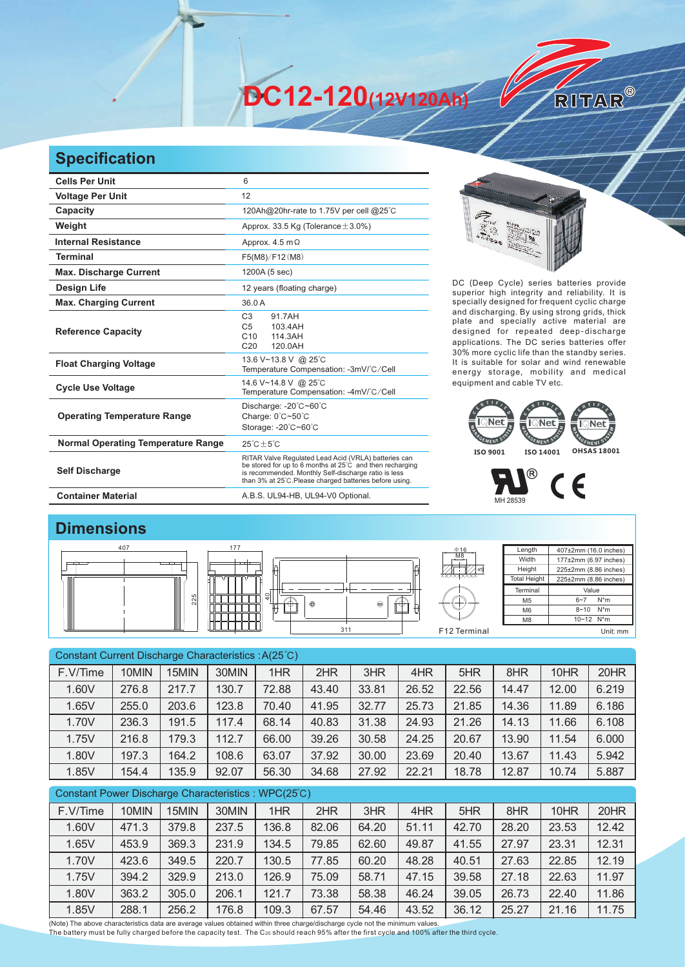**DC12-120(12V120Ah)** 

## **Specification**

| <b>Cells Per Unit</b>                     | 6                                                                                                                                                                                                                                  |
|-------------------------------------------|------------------------------------------------------------------------------------------------------------------------------------------------------------------------------------------------------------------------------------|
| <b>Voltage Per Unit</b>                   | 12                                                                                                                                                                                                                                 |
| Capacity                                  | 120Ah@20hr-rate to 1.75V per cell @25°C                                                                                                                                                                                            |
| Weight                                    | Approx. 33.5 Kg (Tolerance $\pm$ 3.0%)                                                                                                                                                                                             |
| <b>Internal Resistance</b>                | Approx. $4.5 \text{ m}\Omega$                                                                                                                                                                                                      |
| <b>Terminal</b>                           | F5(M8)/F12(M8)                                                                                                                                                                                                                     |
| <b>Max. Discharge Current</b>             | 1200A (5 sec)                                                                                                                                                                                                                      |
| <b>Design Life</b>                        | 12 years (floating charge)                                                                                                                                                                                                         |
| <b>Max. Charging Current</b>              | 36.0 A                                                                                                                                                                                                                             |
| <b>Reference Capacity</b>                 | C <sub>3</sub><br>91.7AH<br>C <sub>5</sub><br>103.4AH<br>C <sub>10</sub><br>114.3AH<br>C <sub>20</sub><br>120.0AH                                                                                                                  |
| <b>Float Charging Voltage</b>             | 13.6 V~13.8 V @ 25°C<br>Temperature Compensation: -3mV/°C/Cell                                                                                                                                                                     |
| <b>Cycle Use Voltage</b>                  | 14.6 V~14.8 V @ 25°C<br>Temperature Compensation: -4mV/°C/Cell                                                                                                                                                                     |
| <b>Operating Temperature Range</b>        | Discharge: -20°C~60°C<br>Charge: 0°C~50°C<br>Storage: -20°C~60°C                                                                                                                                                                   |
| <b>Normal Operating Temperature Range</b> | $25^{\circ}$ C + 5 $^{\circ}$ C                                                                                                                                                                                                    |
| <b>Self Discharge</b>                     | RITAR Valve Regulated Lead Acid (VRLA) batteries can<br>be stored for up to 6 months at 25°C and then recharging<br>is recommended. Monthly Self-discharge ratio is less<br>than 3% at 25°C.Please charged batteries before using. |
| <b>Container Material</b>                 | A.B.S. UL94-HB, UL94-V0 Optional.                                                                                                                                                                                                  |



RITAR®

DC (Deep Cycle) series batteries provide superior high integrity and reliability. It is specially designed for frequent cyclic charge and discharging. By using strong grids, thick plate and specially active material are designed for repeated deep-discharge applications. The DC series batteries offer 30% more cyclic life than the standby series. It is suitable for solar and wind renewable energy storage, mobility and medical equipment and cable TV etc.



## ®

 $C \in$ MH 28539

## **Dimensions**



| Constant Current Discharge Characteristics: A(25°C)  |       |       |       |       |       |       |       |       |       |       |       |
|------------------------------------------------------|-------|-------|-------|-------|-------|-------|-------|-------|-------|-------|-------|
| F.V/Time                                             | 10MIN | 15MIN | 30MIN | 1HR   | 2HR   | 3HR   | 4HR   | 5HR   | 8HR   | 10HR  | 20HR  |
| 1.60V                                                | 276.8 | 217.7 | 130.7 | 72.88 | 43.40 | 33.81 | 26.52 | 22.56 | 14.47 | 12.00 | 6.219 |
| 1.65V                                                | 255.0 | 203.6 | 123.8 | 70.40 | 41.95 | 32.77 | 25.73 | 21.85 | 14.36 | 11.89 | 6.186 |
| 1.70V                                                | 236.3 | 191.5 | 117.4 | 68.14 | 40.83 | 31.38 | 24.93 | 21.26 | 14.13 | 11.66 | 6.108 |
| 1.75V                                                | 216.8 | 179.3 | 112.7 | 66.00 | 39.26 | 30.58 | 24.25 | 20.67 | 13.90 | 11.54 | 6.000 |
| 1.80V                                                | 197.3 | 164.2 | 108.6 | 63.07 | 37.92 | 30.00 | 23.69 | 20.40 | 13.67 | 11.43 | 5.942 |
| 1.85V                                                | 154.4 | 135.9 | 92.07 | 56.30 | 34.68 | 27.92 | 22.21 | 18.78 | 12.87 | 10.74 | 5.887 |
| Constant Power Discharge Characteristics : WPC(25°C) |       |       |       |       |       |       |       |       |       |       |       |
| F.V/Time                                             | 10MIN | 15MIN | 30MIN | 1HR   | 2HR   | 3HR   | 4HR   | 5HR   | 8HR   | 10HR  | 20HR  |
| 1.60V                                                | 471.3 | 379.8 | 237.5 | 136.8 | 82.06 | 64.20 | 51.11 | 42.70 | 28.20 | 23.53 | 12.42 |
| 1.65V                                                | 453.9 | 369.3 | 231.9 | 134.5 | 79.85 | 62.60 | 49.87 | 41.55 | 27.97 | 23.31 | 12.31 |

| 1.70V                                                                                                                       | 423.6 | 349.5 | 220.7 | 130.5 | 77.85 | 60.20 | 48.28 | 40.51 | 27.63 | 22.85 | 12.19 |
|-----------------------------------------------------------------------------------------------------------------------------|-------|-------|-------|-------|-------|-------|-------|-------|-------|-------|-------|
| 1.75V                                                                                                                       | 394.2 | 329.9 | 213.0 | 126.9 | 75.09 | 58.71 | 47.15 | 39.58 | 27.18 | 22.63 | 11.97 |
| 1.80V                                                                                                                       | 363.2 | 305.0 | 206.1 | 121.7 | 73.38 | 58.38 | 46.24 | 39.05 | 26.73 | 22.40 | 11.86 |
| 1.85V                                                                                                                       | 288.1 | 256.2 | 176.8 | 109.3 | 67.57 | 54.46 | 43.52 | 36.12 | 25.27 | 21.16 | 11.75 |
| dote) The above characteristics data are average values obtained within three charge/discharge cycle not the minimum values |       |       |       |       |       |       |       |       |       |       |       |

(Note) The above characteristics data are average values obtained within three charge/discharge cycle not the minimum values.<br>The battery must be fully charged before the capacity test. The C20 should reach 95% after the